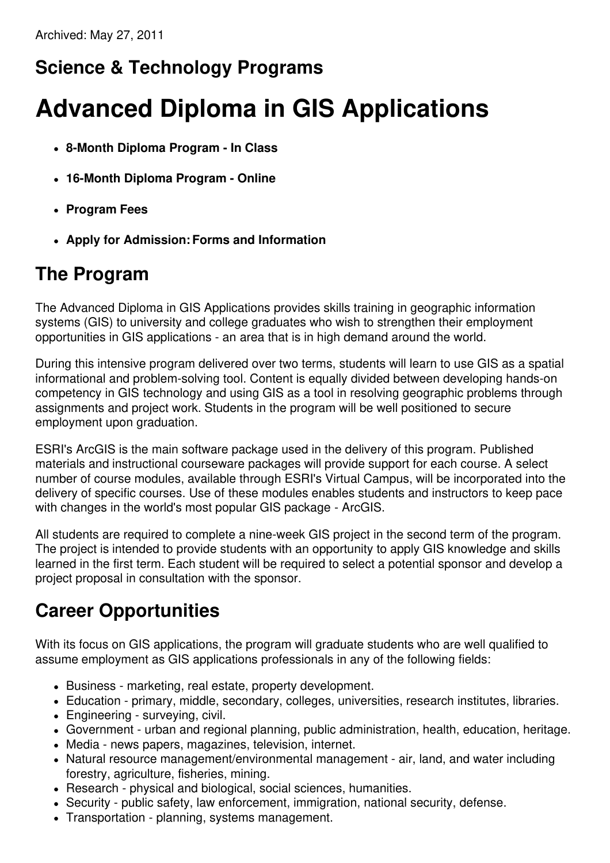## **Science & Technology Programs**

# **Advanced Diploma in GIS Applications**

- **8-Month Diploma Program - In Class**
- **16-Month Diploma Program - Online**
- **Program Fees**
- **Apply for Admission:Forms and Information**

### **The Program**

The Advanced Diploma in GIS Applications provides skills training in geographic information systems (GIS) to university and college graduates who wish to strengthen their employment opportunities in GIS applications - an area that is in high demand around the world.

During this intensive program delivered over two terms, students will learn to use GIS as a spatial informational and problem-solving tool. Content is equally divided between developing hands-on competency in GIS technology and using GIS as a tool in resolving geographic problems through assignments and project work. Students in the program will be well positioned to secure employment upon graduation.

ESRI's ArcGIS is the main software package used in the delivery of this program. Published materials and instructional courseware packages will provide support for each course. A select number of course modules, available through ESRI's Virtual Campus, will be incorporated into the delivery of specific courses. Use of these modules enables students and instructors to keep pace with changes in the world's most popular GIS package - ArcGIS.

All students are required to complete a nine-week GIS project in the second term of the program. The project is intended to provide students with an opportunity to apply GIS knowledge and skills learned in the first term. Each student will be required to select a potential sponsor and develop a project proposal in consultation with the sponsor.

### **Career Opportunities**

With its focus on GIS applications, the program will graduate students who are well qualified to assume employment as GIS applications professionals in any of the following fields:

- Business marketing, real estate, property development.
- Education primary, middle, secondary, colleges, universities, research institutes, libraries.
- Engineering surveying, civil.
- Government urban and regional planning, public administration, health, education, heritage.
- Media news papers, magazines, television, internet.
- Natural resource management/environmental management air, land, and water including forestry, agriculture, fisheries, mining.
- Research physical and biological, social sciences, humanities.
- Security public safety, law enforcement, immigration, national security, defense.
- Transportation planning, systems management.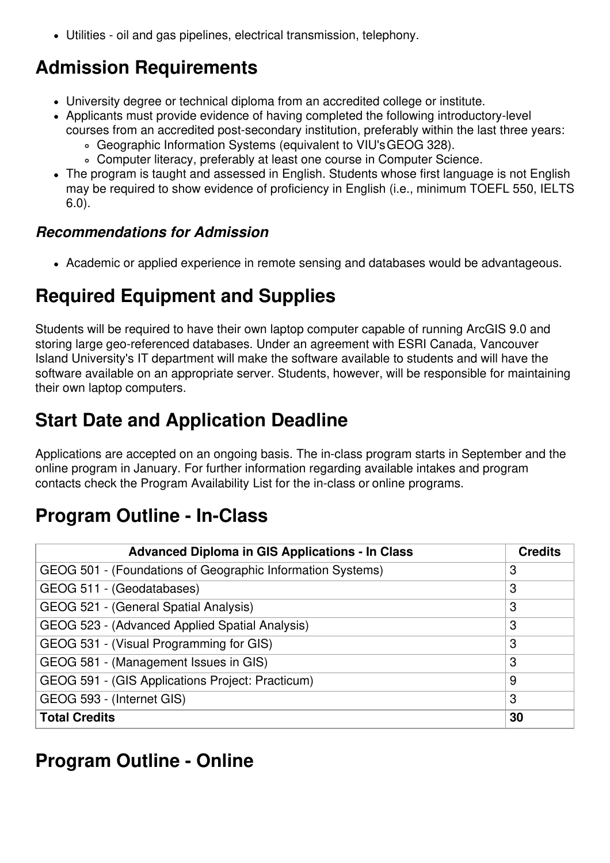Utilities - oil and gas pipelines, electrical transmission, telephony.

### **Admission Requirements**

- University degree or technical diploma from an accredited college or institute.
- Applicants must provide evidence of having completed the following introductory-level courses from an accredited post-secondary institution, preferably within the last three years:
	- Geographic Information Systems (equivalent to VIU'sGEOG 328).
	- Computer literacy, preferably at least one course in Computer Science.
- The program is taught and assessed in English. Students whose first language is not English may be required to show evidence of proficiency in English (i.e., minimum TOEFL 550, IELTS 6.0).

#### *Recommendations for Admission*

Academic or applied experience in remote sensing and databases would be advantageous.

#### **Required Equipment and Supplies**

Students will be required to have their own laptop computer capable of running ArcGIS 9.0 and storing large geo-referenced databases. Under an agreement with ESRI Canada, Vancouver Island University's IT department will make the software available to students and will have the software available on an appropriate server. Students, however, will be responsible for maintaining their own laptop computers.

### **Start Date and Application Deadline**

Applications are accepted on an ongoing basis. The in-class program starts in September and the online program in January. For further information regarding available intakes and program contacts check the Program Availability List for the in-class or online programs.

#### **Program Outline - In-Class**

| <b>Advanced Diploma in GIS Applications - In Class</b>     | <b>Credits</b> |
|------------------------------------------------------------|----------------|
| GEOG 501 - (Foundations of Geographic Information Systems) | 3              |
| GEOG 511 - (Geodatabases)                                  | 3              |
| GEOG 521 - (General Spatial Analysis)                      | 3              |
| GEOG 523 - (Advanced Applied Spatial Analysis)             | 3              |
| GEOG 531 - (Visual Programming for GIS)                    | 3              |
| GEOG 581 - (Management Issues in GIS)                      | 3              |
| GEOG 591 - (GIS Applications Project: Practicum)           | 9              |
| GEOG 593 - (Internet GIS)                                  | 3              |
| <b>Total Credits</b>                                       | 30             |

#### **Program Outline - Online**